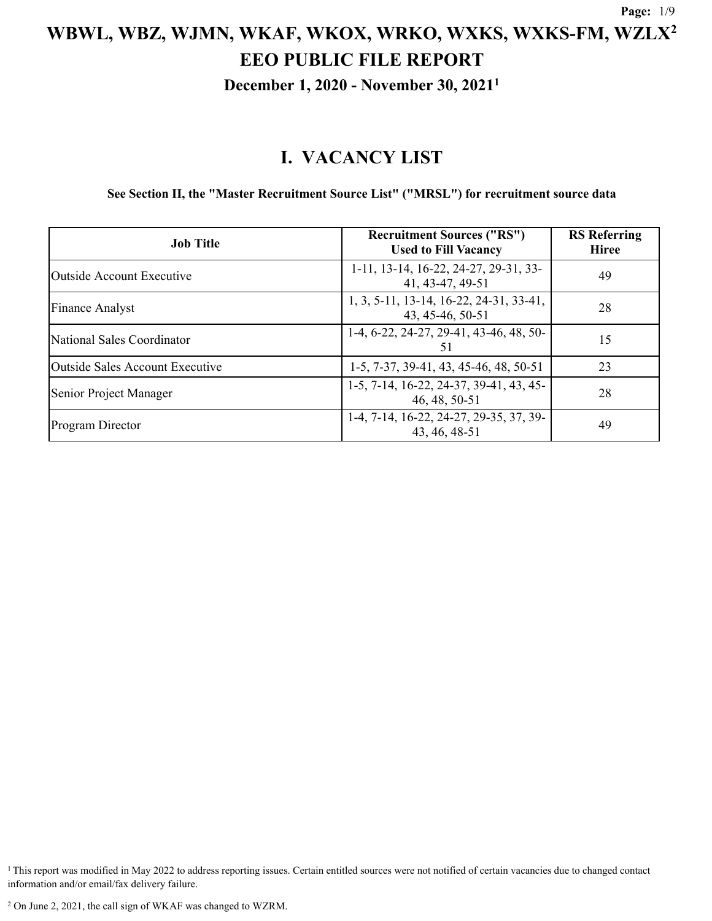**December 1, 2020 - November 30, 2021<sup>1</sup>**

### **I. VACANCY LIST**

**See Section II, the "Master Recruitment Source List" ("MRSL") for recruitment source data**

| <b>Job Title</b>                | <b>Recruitment Sources ("RS")</b><br><b>Used to Fill Vacancy</b> | <b>RS</b> Referring<br><b>Hiree</b> |
|---------------------------------|------------------------------------------------------------------|-------------------------------------|
| Outside Account Executive       | 1-11, 13-14, 16-22, 24-27, 29-31, 33-<br>41, 43-47, 49-51        | 49                                  |
| <b>Finance Analyst</b>          | 1, 3, 5-11, 13-14, 16-22, 24-31, 33-41,<br>43, 45-46, 50-51      | 28                                  |
| National Sales Coordinator      | 1-4, 6-22, 24-27, 29-41, 43-46, 48, 50-<br>51                    | 15                                  |
| Outside Sales Account Executive | 1-5, 7-37, 39-41, 43, 45-46, 48, 50-51                           | 23                                  |
| Senior Project Manager          | 1-5, 7-14, 16-22, 24-37, 39-41, 43, 45-<br>46, 48, 50-51         | 28                                  |
| <b>Program Director</b>         | 1-4, 7-14, 16-22, 24-27, 29-35, 37, 39-<br>43, 46, 48-51         | 49                                  |

 $1$ This report was modified in May 2022 to address reporting issues. Certain entitled sources were not notified of certain vacancies due to changed contact information and/or email/fax delivery failure.

<sup>2</sup> On June 2, 2021, the call sign of WKAF was changed to WZRM.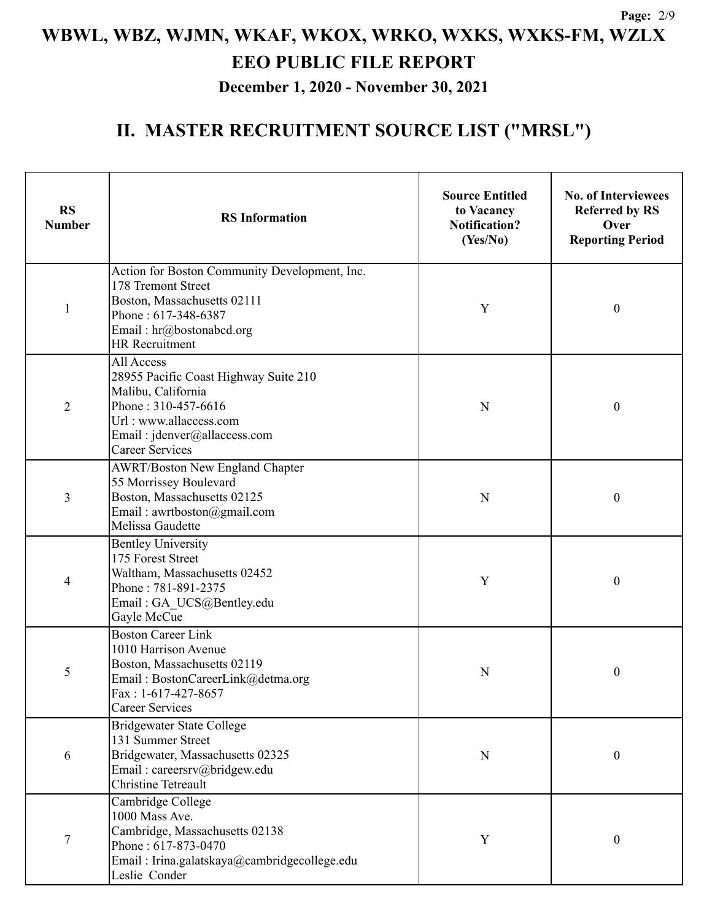**December 1, 2020 - November 30, 2021**

| <b>RS</b><br><b>Number</b> | <b>RS</b> Information                                                                                                                                                                     | <b>Source Entitled</b><br>to Vacancy<br>Notification?<br>(Yes/No) | <b>No. of Interviewees</b><br><b>Referred by RS</b><br>Over<br><b>Reporting Period</b> |  |
|----------------------------|-------------------------------------------------------------------------------------------------------------------------------------------------------------------------------------------|-------------------------------------------------------------------|----------------------------------------------------------------------------------------|--|
| $\mathbf{1}$               | Action for Boston Community Development, Inc.<br>178 Tremont Street<br>Boston, Massachusetts 02111<br>Phone: 617-348-6387<br>Email: hr@bostonabcd.org<br><b>HR</b> Recruitment            | Y                                                                 | $\boldsymbol{0}$                                                                       |  |
| $\overline{2}$             | All Access<br>28955 Pacific Coast Highway Suite 210<br>Malibu, California<br>Phone: 310-457-6616<br>N<br>Url: www.allaccess.com<br>Email: jdenver@allaccess.com<br><b>Career Services</b> |                                                                   | $\boldsymbol{0}$                                                                       |  |
| 3                          | <b>AWRT/Boston New England Chapter</b><br>55 Morrissey Boulevard<br>Boston, Massachusetts 02125<br>Email: awrtboston@gmail.com<br>Melissa Gaudette                                        | N                                                                 | $\boldsymbol{0}$                                                                       |  |
| 4                          | <b>Bentley University</b><br>175 Forest Street<br>Waltham, Massachusetts 02452<br>Phone: 781-891-2375<br>Email: GA_UCS@Bentley.edu<br>Gayle McCue                                         | Y                                                                 | $\boldsymbol{0}$                                                                       |  |
| 5                          | <b>Boston Career Link</b><br>1010 Harrison Avenue<br>Boston, Massachusetts 02119<br>Email: BostonCareerLink@detma.org<br>$Fax: 1-617-427-8657$<br><b>Career Services</b>                  | N                                                                 | $\boldsymbol{0}$                                                                       |  |
| 6                          | <b>Bridgewater State College</b><br>131 Summer Street<br>Bridgewater, Massachusetts 02325<br>Email: careersrv@bridgew.edu<br><b>Christine Tetreault</b>                                   | N                                                                 | $\boldsymbol{0}$                                                                       |  |
| 7                          | Cambridge College<br>1000 Mass Ave.<br>Cambridge, Massachusetts 02138<br>Phone: 617-873-0470<br>Email: Irina.galatskaya@cambridgecollege.edu<br>Leslie Conder                             | Y                                                                 | $\boldsymbol{0}$                                                                       |  |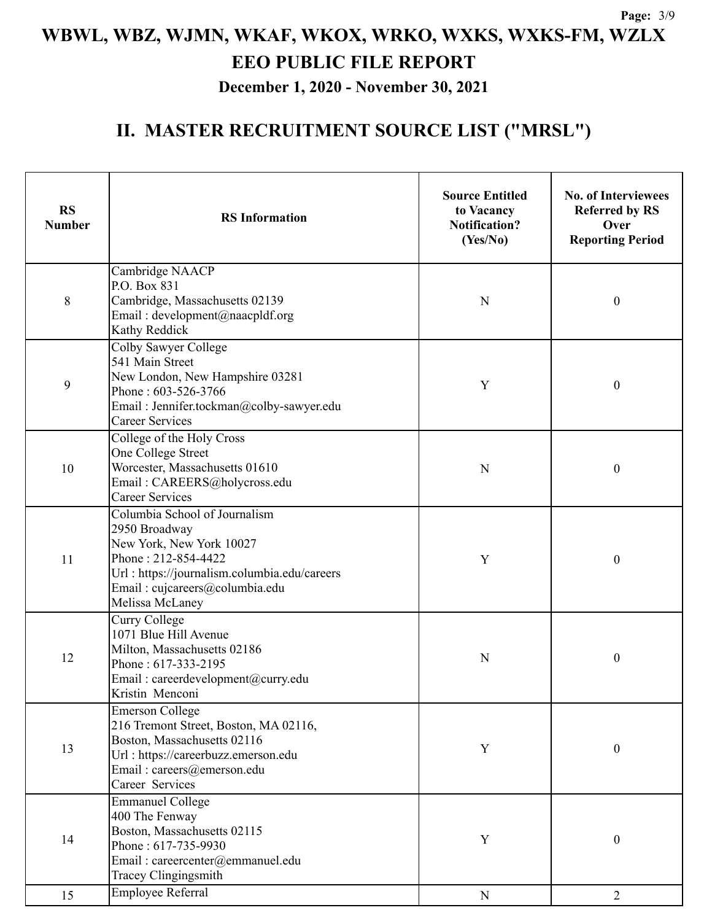**December 1, 2020 - November 30, 2021**

| <b>RS</b><br><b>Number</b> | <b>RS</b> Information                                                                                                                                                                                  | <b>Source Entitled</b><br>to Vacancy<br><b>Notification?</b><br>(Yes/No) | <b>No. of Interviewees</b><br><b>Referred by RS</b><br>Over<br><b>Reporting Period</b> |
|----------------------------|--------------------------------------------------------------------------------------------------------------------------------------------------------------------------------------------------------|--------------------------------------------------------------------------|----------------------------------------------------------------------------------------|
| 8                          | Cambridge NAACP<br>P.O. Box 831<br>Cambridge, Massachusetts 02139<br>Email: development@naacpldf.org<br>Kathy Reddick                                                                                  | N                                                                        | 0                                                                                      |
| 9                          | Colby Sawyer College<br>541 Main Street<br>New London, New Hampshire 03281<br>Y<br>Phone: 603-526-3766<br>Email: Jennifer.tockman@colby-sawyer.edu<br><b>Career Services</b>                           |                                                                          | 0                                                                                      |
| 10                         | College of the Holy Cross<br>One College Street<br>Worcester, Massachusetts 01610<br>Email: CAREERS@holycross.edu<br><b>Career Services</b>                                                            | N                                                                        | 0                                                                                      |
| 11                         | Columbia School of Journalism<br>2950 Broadway<br>New York, New York 10027<br>Phone: 212-854-4422<br>Url: https://journalism.columbia.edu/careers<br>Email: cujcareers@columbia.edu<br>Melissa McLaney |                                                                          | 0                                                                                      |
| 12                         | Curry College<br>1071 Blue Hill Avenue<br>Milton, Massachusetts 02186<br>Phone: 617-333-2195<br>Email: careerdevelopment@curry.edu<br>Kristin Menconi                                                  | N                                                                        | 0                                                                                      |
| 13                         | <b>Emerson College</b><br>216 Tremont Street, Boston, MA 02116,<br>Boston, Massachusetts 02116<br>Url: https://careerbuzz.emerson.edu<br>Email: careers@emerson.edu<br>Career Services                 | Y                                                                        | $\boldsymbol{0}$                                                                       |
| 14                         | <b>Emmanuel College</b><br>400 The Fenway<br>Boston, Massachusetts 02115<br>Phone: 617-735-9930<br>Email: careercenter@emmanuel.edu<br>Tracey Clingingsmith                                            | Y                                                                        | $\boldsymbol{0}$                                                                       |
| 15                         | <b>Employee Referral</b>                                                                                                                                                                               | ${\bf N}$                                                                | $\overline{2}$                                                                         |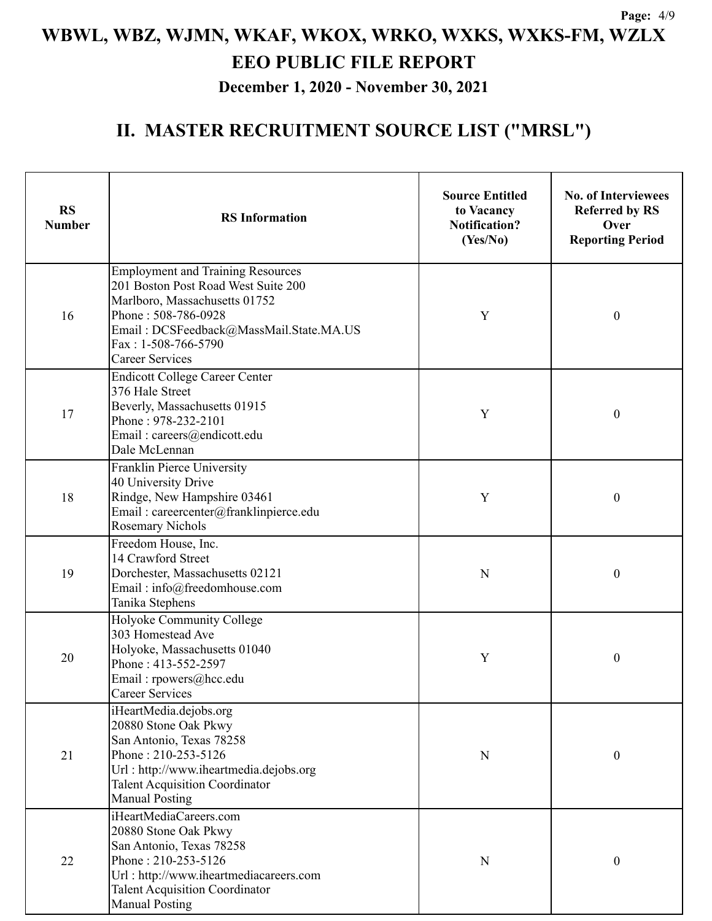**December 1, 2020 - November 30, 2021**

| <b>RS</b><br><b>Number</b> | <b>RS</b> Information                                                                                                                                                                                                               | <b>Source Entitled</b><br>to Vacancy<br><b>Notification?</b><br>(Yes/No) | <b>No. of Interviewees</b><br><b>Referred by RS</b><br>Over<br><b>Reporting Period</b> |
|----------------------------|-------------------------------------------------------------------------------------------------------------------------------------------------------------------------------------------------------------------------------------|--------------------------------------------------------------------------|----------------------------------------------------------------------------------------|
| 16                         | <b>Employment and Training Resources</b><br>201 Boston Post Road West Suite 200<br>Marlboro, Massachusetts 01752<br>Phone: 508-786-0928<br>Email: DCSFeedback@MassMail.State.MA.US<br>Fax: 1-508-766-5790<br><b>Career Services</b> | Y                                                                        | $\boldsymbol{0}$                                                                       |
| 17                         | <b>Endicott College Career Center</b><br>376 Hale Street<br>Beverly, Massachusetts 01915<br>Y<br>Phone: 978-232-2101<br>Email: careers@endicott.edu<br>Dale McLennan                                                                |                                                                          | $\boldsymbol{0}$                                                                       |
| 18                         | Franklin Pierce University<br>40 University Drive<br>Rindge, New Hampshire 03461<br>Email: careercenter@franklinpierce.edu<br><b>Rosemary Nichols</b>                                                                               |                                                                          | $\boldsymbol{0}$                                                                       |
| 19                         | Freedom House, Inc.<br>14 Crawford Street<br>Dorchester, Massachusetts 02121<br>Email: info@freedomhouse.com<br>Tanika Stephens                                                                                                     | N                                                                        | $\boldsymbol{0}$                                                                       |
| 20                         | Holyoke Community College<br>303 Homestead Ave<br>Holyoke, Massachusetts 01040<br>Phone: 413-552-2597<br>Email: rpowers@hcc.edu<br>Career Services                                                                                  | Y                                                                        | $\boldsymbol{0}$                                                                       |
| 21                         | iHeartMedia.dejobs.org<br>20880 Stone Oak Pkwy<br>San Antonio, Texas 78258<br>Phone: 210-253-5126<br>Url: http://www.iheartmedia.dejobs.org<br><b>Talent Acquisition Coordinator</b><br><b>Manual Posting</b>                       | N                                                                        | $\boldsymbol{0}$                                                                       |
| 22                         | iHeartMediaCareers.com<br>20880 Stone Oak Pkwy<br>San Antonio, Texas 78258<br>Phone: 210-253-5126<br>Url: http://www.iheartmediacareers.com<br><b>Talent Acquisition Coordinator</b><br><b>Manual Posting</b>                       | N                                                                        | $\boldsymbol{0}$                                                                       |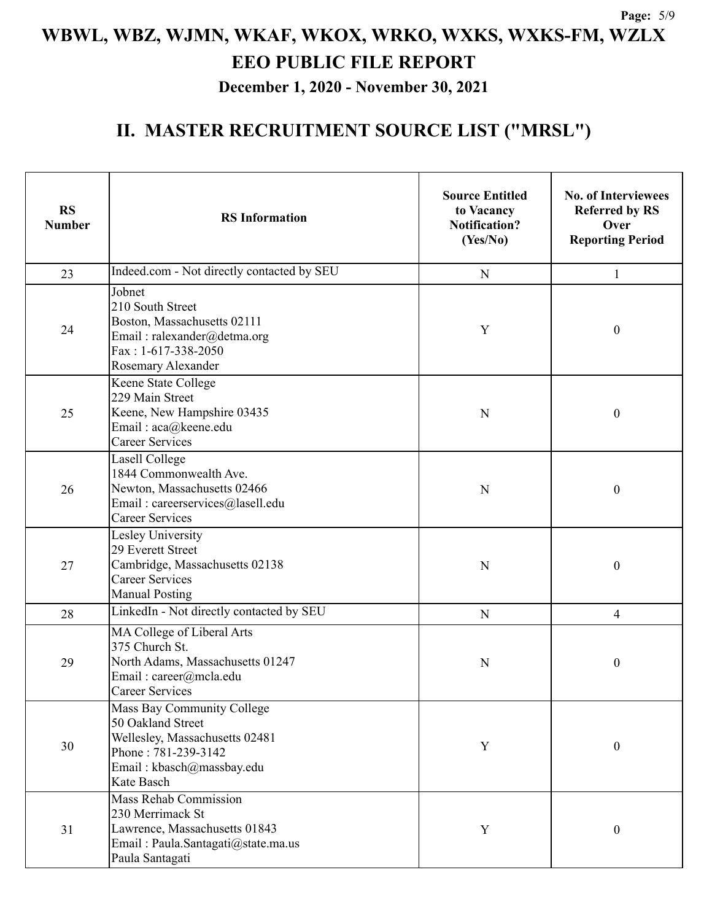**December 1, 2020 - November 30, 2021**

| <b>RS</b><br><b>Number</b>                                                                                                                  | <b>RS</b> Information                                                                                                                               | <b>Source Entitled</b><br>to Vacancy<br><b>Notification?</b><br>(Yes/No) | <b>No. of Interviewees</b><br><b>Referred by RS</b><br>Over<br><b>Reporting Period</b> |
|---------------------------------------------------------------------------------------------------------------------------------------------|-----------------------------------------------------------------------------------------------------------------------------------------------------|--------------------------------------------------------------------------|----------------------------------------------------------------------------------------|
| 23                                                                                                                                          | Indeed.com - Not directly contacted by SEU                                                                                                          | ${\bf N}$                                                                | $\mathbf{1}$                                                                           |
| 24                                                                                                                                          | Jobnet<br>210 South Street<br>Boston, Massachusetts 02111<br>Email: ralexander@detma.org<br>Fax: 1-617-338-2050<br>Rosemary Alexander               | Y                                                                        | $\boldsymbol{0}$                                                                       |
| 25                                                                                                                                          | Keene State College<br>229 Main Street<br>Keene, New Hampshire 03435<br>Email: aca@keene.edu<br><b>Career Services</b>                              | N                                                                        | $\boldsymbol{0}$                                                                       |
| Lasell College<br>1844 Commonwealth Ave.<br>Newton, Massachusetts 02466<br>26<br>Email: careerservices@lasell.edu<br><b>Career Services</b> |                                                                                                                                                     | N                                                                        | $\boldsymbol{0}$                                                                       |
| 27                                                                                                                                          | Lesley University<br>29 Everett Street<br>Cambridge, Massachusetts 02138<br><b>Career Services</b><br><b>Manual Posting</b>                         | N                                                                        |                                                                                        |
| 28                                                                                                                                          | LinkedIn - Not directly contacted by SEU                                                                                                            | ${\bf N}$                                                                | $\overline{\mathcal{A}}$                                                               |
| 29                                                                                                                                          | MA College of Liberal Arts<br>375 Church St.<br>North Adams, Massachusetts 01247<br>Email: career@mcla.edu<br>Career Services                       | $\mathbf N$                                                              | $\boldsymbol{0}$                                                                       |
| 30                                                                                                                                          | Mass Bay Community College<br>50 Oakland Street<br>Wellesley, Massachusetts 02481<br>Phone: 781-239-3142<br>Email: kbasch@massbay.edu<br>Kate Basch | $\mathbf Y$                                                              | $\boldsymbol{0}$                                                                       |
| 31                                                                                                                                          | <b>Mass Rehab Commission</b><br>230 Merrimack St<br>Lawrence, Massachusetts 01843<br>Email: Paula.Santagati@state.ma.us<br>Paula Santagati          | Y                                                                        | $\boldsymbol{0}$                                                                       |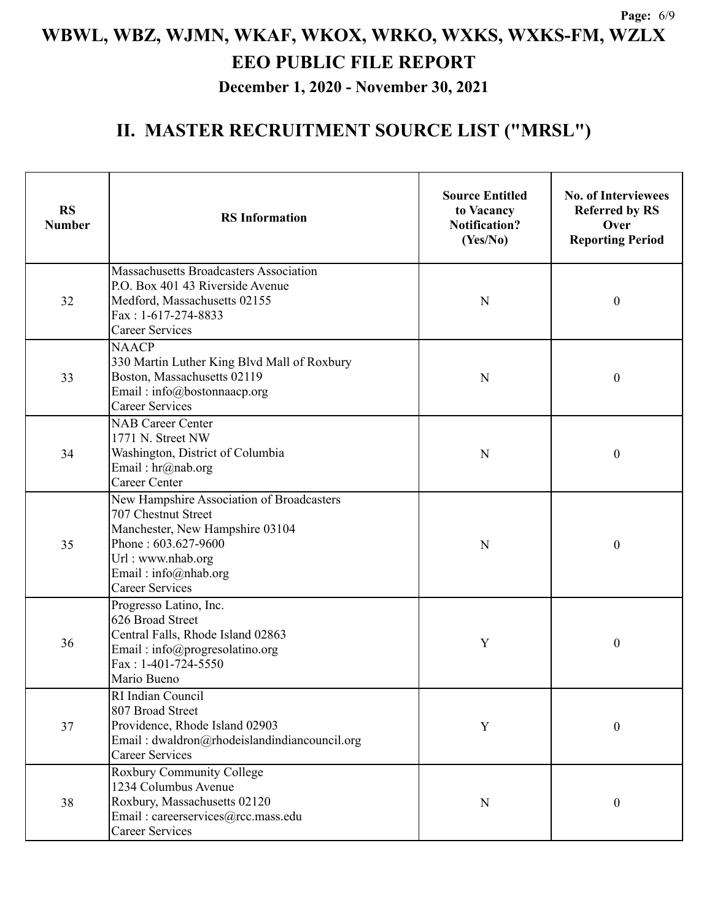**December 1, 2020 - November 30, 2021**

| <b>RS</b><br><b>Number</b>                                                                                                           | <b>RS</b> Information                                                                                                                                                                             | <b>Source Entitled</b><br>to Vacancy<br><b>Notification?</b><br>(Yes/No) | <b>No. of Interviewees</b><br><b>Referred by RS</b><br>Over<br><b>Reporting Period</b> |  |
|--------------------------------------------------------------------------------------------------------------------------------------|---------------------------------------------------------------------------------------------------------------------------------------------------------------------------------------------------|--------------------------------------------------------------------------|----------------------------------------------------------------------------------------|--|
| 32                                                                                                                                   | Massachusetts Broadcasters Association<br>P.O. Box 401 43 Riverside Avenue<br>Medford, Massachusetts 02155<br>Fax: 1-617-274-8833<br><b>Career Services</b>                                       | N                                                                        | $\boldsymbol{0}$                                                                       |  |
| 33                                                                                                                                   | <b>NAACP</b><br>330 Martin Luther King Blvd Mall of Roxbury<br>Boston, Massachusetts 02119<br>N<br>Email: info@bostonnaacp.org<br><b>Career Services</b>                                          |                                                                          | $\boldsymbol{0}$                                                                       |  |
| <b>NAB Career Center</b><br>1771 N. Street NW<br>Washington, District of Columbia<br>34<br>Email: hr@nab.org<br><b>Career Center</b> |                                                                                                                                                                                                   | N                                                                        | $\boldsymbol{0}$                                                                       |  |
| 35                                                                                                                                   | New Hampshire Association of Broadcasters<br>707 Chestnut Street<br>Manchester, New Hampshire 03104<br>Phone: 603.627-9600<br>Url: www.nhab.org<br>Email: info@nhab.org<br><b>Career Services</b> | N                                                                        | $\boldsymbol{0}$                                                                       |  |
| 36                                                                                                                                   | Progresso Latino, Inc.<br>626 Broad Street<br>Central Falls, Rhode Island 02863<br>Email: info@progresolatino.org<br>Fax: 1-401-724-5550<br>Mario Bueno                                           | Y                                                                        | $\boldsymbol{0}$                                                                       |  |
| 37                                                                                                                                   | RI Indian Council<br>807 Broad Street<br>Providence, Rhode Island 02903<br>Email: dwaldron@rhodeislandindiancouncil.org<br><b>Career Services</b>                                                 |                                                                          | $\boldsymbol{0}$                                                                       |  |
| 38                                                                                                                                   | Roxbury Community College<br>1234 Columbus Avenue<br>Roxbury, Massachusetts 02120<br>Email: careerservices@rcc.mass.edu<br><b>Career Services</b>                                                 | N                                                                        | $\boldsymbol{0}$                                                                       |  |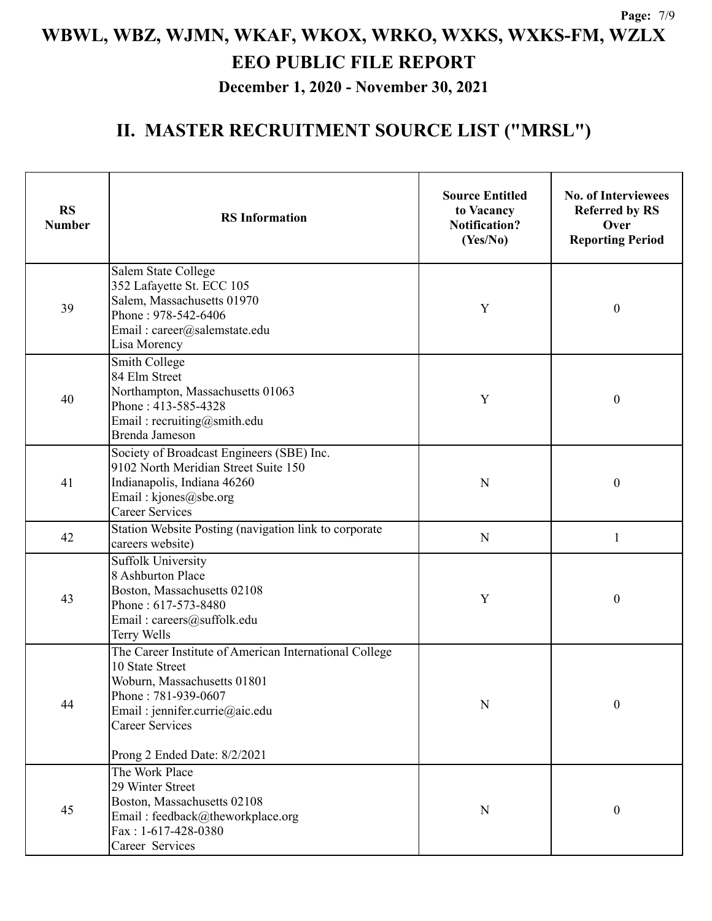**December 1, 2020 - November 30, 2021**

| <b>RS</b><br><b>Number</b> | <b>RS</b> Information                                                                                                                                                                                                        | <b>Source Entitled</b><br>to Vacancy<br><b>Notification?</b><br>(Yes/No) | <b>No. of Interviewees</b><br><b>Referred by RS</b><br>Over<br><b>Reporting Period</b> |
|----------------------------|------------------------------------------------------------------------------------------------------------------------------------------------------------------------------------------------------------------------------|--------------------------------------------------------------------------|----------------------------------------------------------------------------------------|
| 39                         | Salem State College<br>352 Lafayette St. ECC 105<br>Salem, Massachusetts 01970<br>Phone: 978-542-6406<br>Email: career@salemstate.edu<br>Lisa Morency                                                                        | Y                                                                        | $\boldsymbol{0}$                                                                       |
| 40                         | Smith College<br>84 Elm Street<br>Northampton, Massachusetts 01063<br>Phone: 413-585-4328<br>Email: recruiting@smith.edu<br>Brenda Jameson                                                                                   | Y                                                                        | $\boldsymbol{0}$                                                                       |
| 41                         | Society of Broadcast Engineers (SBE) Inc.<br>9102 North Meridian Street Suite 150<br>Indianapolis, Indiana 46260<br>Email: kjones@sbe.org<br><b>Career Services</b>                                                          | N                                                                        | $\boldsymbol{0}$                                                                       |
| 42                         | Station Website Posting (navigation link to corporate<br>careers website)                                                                                                                                                    | $\mathbf N$                                                              | 1                                                                                      |
| 43                         | Suffolk University<br>8 Ashburton Place<br>Boston, Massachusetts 02108<br>Phone: 617-573-8480<br>Email: careers@suffolk.edu<br>Terry Wells                                                                                   | Y                                                                        | $\boldsymbol{0}$                                                                       |
| 44                         | The Career Institute of American International College<br>10 State Street<br>Woburn, Massachusetts 01801<br>Phone: 781-939-0607<br>Email : jennifer.currie@aic.edu<br><b>Career Services</b><br>Prong 2 Ended Date: 8/2/2021 | N                                                                        | $\boldsymbol{0}$                                                                       |
| 45                         | The Work Place<br>29 Winter Street<br>Boston, Massachusetts 02108<br>Email: feedback@theworkplace.org<br>Fax: 1-617-428-0380<br>Career Services                                                                              | N                                                                        | $\boldsymbol{0}$                                                                       |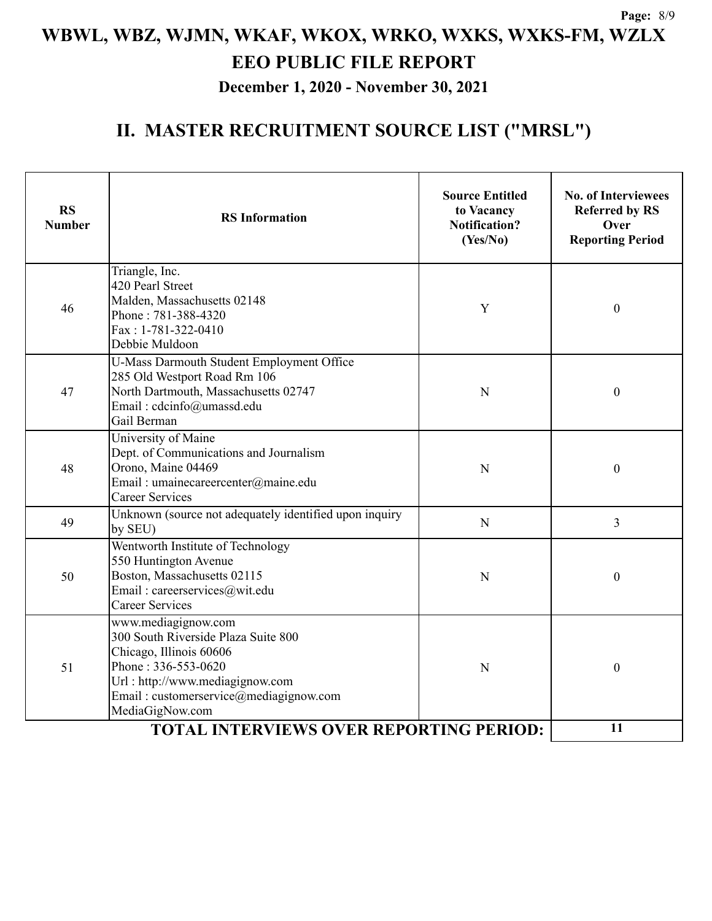**December 1, 2020 - November 30, 2021**

| <b>RS</b><br><b>Number</b>                     | <b>RS</b> Information                                                                                                                                                                                        | <b>Source Entitled</b><br>to Vacancy<br><b>Notification?</b><br>(Yes/No) | <b>No. of Interviewees</b><br><b>Referred by RS</b><br>Over<br><b>Reporting Period</b> |
|------------------------------------------------|--------------------------------------------------------------------------------------------------------------------------------------------------------------------------------------------------------------|--------------------------------------------------------------------------|----------------------------------------------------------------------------------------|
| 46                                             | Triangle, Inc.<br>420 Pearl Street<br>Malden, Massachusetts 02148<br>Phone: 781-388-4320<br>Fax: 1-781-322-0410<br>Debbie Muldoon                                                                            | Y                                                                        | $\boldsymbol{0}$                                                                       |
| 47                                             | U-Mass Darmouth Student Employment Office<br>285 Old Westport Road Rm 106<br>North Dartmouth, Massachusetts 02747<br>Email: cdcinfo@umassd.edu<br>Gail Berman                                                | N                                                                        | $\boldsymbol{0}$                                                                       |
| 48                                             | University of Maine<br>Dept. of Communications and Journalism<br>Orono, Maine 04469<br>Email: umainecareercenter@maine.edu<br><b>Career Services</b>                                                         | N                                                                        | $\boldsymbol{0}$                                                                       |
| 49                                             | Unknown (source not adequately identified upon inquiry<br>by SEU)                                                                                                                                            | N                                                                        | 3                                                                                      |
| 50                                             | Wentworth Institute of Technology<br>550 Huntington Avenue<br>Boston, Massachusetts 02115<br>Email: careerservices@wit.edu<br><b>Career Services</b>                                                         | N                                                                        | $\boldsymbol{0}$                                                                       |
| 51                                             | www.mediagignow.com<br>300 South Riverside Plaza Suite 800<br>Chicago, Illinois 60606<br>Phone: 336-553-0620<br>Url: http://www.mediagignow.com<br>Email: customerservice@mediagignow.com<br>MediaGigNow.com | N                                                                        | $\boldsymbol{0}$                                                                       |
| <b>TOTAL INTERVIEWS OVER REPORTING PERIOD:</b> |                                                                                                                                                                                                              |                                                                          | 11                                                                                     |